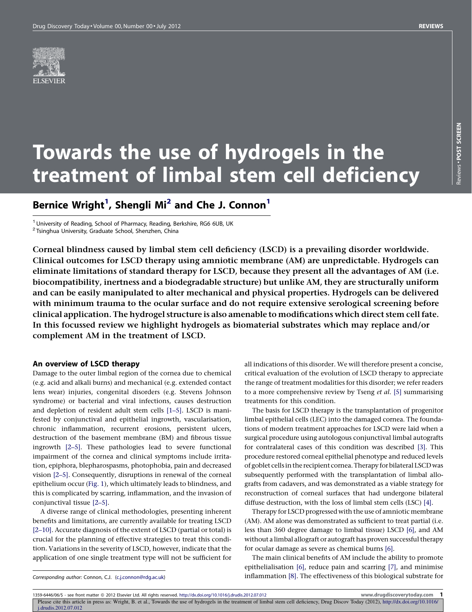

# Towards the use of hydrogels in the treatment of limbal stem cell deficiency

## Bernice Wright $^{\mathsf{1}}$ , Shengli Mi $^{\mathsf{2}}$  and Che J. Connon $^{\mathsf{1}}$

 $1$ University of Reading, School of Pharmacy, Reading, Berkshire, RG6 6UB, UK  $2$ Tsinghua University, Graduate School, Shenzhen, China

Corneal blindness caused by limbal stem cell deficiency (LSCD) is a prevailing disorder worldwide. Clinical outcomes for LSCD therapy using amniotic membrane (AM) are unpredictable. Hydrogels can eliminate limitations of standard therapy for LSCD, because they present all the advantages of AM (i.e. biocompatibility, inertness and a biodegradable structure) but unlike AM, they are structurally uniform and can be easily manipulated to alter mechanical and physical properties. Hydrogels can be delivered with minimum trauma to the ocular surface and do not require extensive serological screening before clinical application. The hydrogel structure is also amenable to modifications which direct stem cell fate. In this focussed review we highlight hydrogels as biomaterial substrates which may replace and/or complement AM in the treatment of LSCD.

#### An overview of LSCD therapy

Damage to the outer limbal region of the cornea due to chemical (e.g. acid and alkali burns) and mechanical (e.g. extended contact lens wear) injuries, congenital disorders (e.g. Stevens Johnson syndrome) or bacterial and viral infections, causes destruction and depletion of resident adult stem cells [\[1–5\].](#page-6-0) LSCD is manifested by conjunctival and epithelial ingrowth, vascularisation, chronic inflammation, recurrent erosions, persistent ulcers, destruction of the basement membrane (BM) and fibrous tissue ingrowth [\[2–5\]](#page-6-0). These pathologies lead to severe functional impairment of the cornea and clinical symptoms include irritation, epiphora, blepharospasms, photophobia, pain and decreased vision [\[2–5\].](#page-6-0) Consequently, disruptions in renewal of the corneal epithelium occur ([Fig.](#page-1-0) 1), which ultimately leads to blindness, and this is complicated by scarring, inflammation, and the invasion of conjunctival tissue [\[2–5\].](#page-6-0)

A diverse range of clinical methodologies, presenting inherent benefits and limitations, are currently available for treating LSCD [\[2–10\].](#page-6-0) Accurate diagnosis of the extent of LSCD (partial or total) is crucial for the planning of effective strategies to treat this condition. Variations in the severity of LSCD, however, indicate that the application of one single treatment type will not be sufficient for all indications of this disorder. We will therefore present a concise, critical evaluation of the evolution of LSCD therapy to appreciate the range of treatment modalities for this disorder; we refer readers to a more comprehensive review by Tseng et al. [\[5\]](#page-6-0) summarising treatments for this condition.

The basis for LSCD therapy is the transplantation of progenitor limbal epithelial cells (LEC) into the damaged cornea. The foundations of modern treatment approaches for LSCD were laid when a surgical procedure using autologous conjunctival limbal autografts for contralateral cases of this condition was described [\[3\]](#page-6-0). This procedure restored corneal epithelial phenotype and reduced levels of goblet cells in the recipient cornea. Therapy for bilateral LSCD was subsequently performed with the transplantation of limbal allografts from cadavers, and was demonstrated as a viable strategy for reconstruction of corneal surfaces that had undergone bilateral diffuse destruction, with the loss of limbal stem cells (LSC) [\[4\]](#page-6-0).

Therapy for LSCD progressed with the use of amniotic membrane (AM). AM alone was demonstrated as sufficient to treat partial (i.e. less than 360 degree damage to limbal tissue) LSCD [\[6\],](#page-6-0) and AM without a limbal allograft or autograft has proven successful therapy for ocular damage as severe as chemical burns [\[6\]](#page-6-0).

The main clinical benefits of AM include the ability to promote epithelialisation [\[6\]](#page-6-0), reduce pain and scarring [\[7\]](#page-6-0), and minimise inflammation [\[8\].](#page-6-0) The effectiveness of this biological substrate for

1359-6446/06/\$ - see front matter @ 2012 Elsevier Ltd. All rights reserved. <http://dx.doi.org/10.1016/j.drudis.2012.07.012> metal and the second matter of 2012 Elsevier Ltd. All rights reserved. http://dx.doi.org/10.1016/j.

Corresponding author: Connon, C.J. [\(c.j.connon@rdg.ac.uk\)](mailto:c.j.connon@rdg.ac.uk)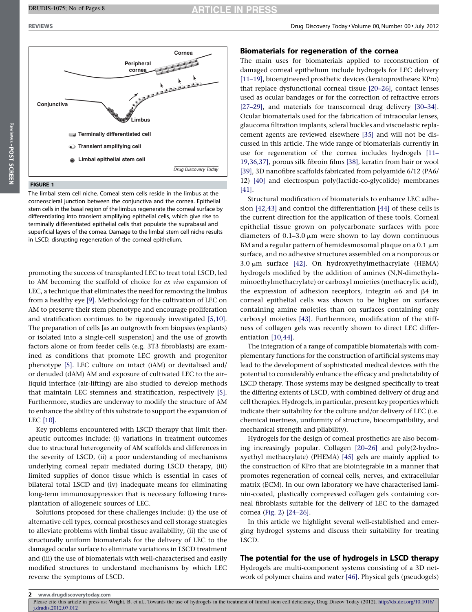<span id="page-1-0"></span>

#### FIGURE 1

The limbal stem cell niche. Corneal stem cells reside in the limbus at the corneoscleral junction between the conjunctiva and the cornea. Epithelial stem cells in the basal region of the limbus regenerate the corneal surface by differentiating into transient amplifying epithelial cells, which give rise to terminally differentiated epithelial cells that populate the suprabasal and superficial layers of the cornea. Damage to the limbal stem cell niche results in LSCD, disrupting regeneration of the corneal epithelium.

promoting the success of transplanted LEC to treat total LSCD, led to AM becoming the scaffold of choice for ex vivo expansion of LEC, a technique that eliminates the need for removing the limbus from a healthy eye [\[9\].](#page-6-0) Methodology for the cultivation of LEC on AM to preserve their stem phenotype and encourage proliferation and stratification continues to be rigorously investigated [\[5,10\]](#page-6-0). The preparation of cells [as an outgrowth from biopsies (explants) or isolated into a single-cell suspension] and the use of growth factors alone or from feeder cells (e.g. 3T3 fibroblasts) are examined as conditions that promote LEC growth and progenitor phenotype [\[5\].](#page-6-0) LEC culture on intact (iAM) or devitalised and/ or denuded (dAM) AM and exposure of cultivated LEC to the air– liquid interface (air-lifting) are also studied to develop methods that maintain LEC stemness and stratification, respectively [\[5\]](#page-6-0). Furthermore, studies are underway to modify the structure of AM to enhance the ability of this substrate to support the expansion of LEC [\[10\].](#page-6-0)

Key problems encountered with LSCD therapy that limit therapeutic outcomes include: (i) variations in treatment outcomes due to structural heterogeneity of AM scaffolds and differences in the severity of LSCD, (ii) a poor understanding of mechanisms underlying corneal repair mediated during LSCD therapy, (iii) limited supplies of donor tissue which is essential in cases of bilateral total LSCD and (iv) inadequate means for eliminating long-term immunosuppression that is necessary following transplantation of allogeneic sources of LEC.

Solutions proposed for these challenges include: (i) the use of alternative cell types, corneal prostheses and cell storage strategies to alleviate problems with limbal tissue availability, (ii) the use of structurally uniform biomaterials for the delivery of LEC to the damaged ocular surface to eliminate variations in LSCD treatment and (iii) the use of biomaterials with well-characterised and easily modified structures to understand mechanisms by which LEC reverse the symptoms of LSCD.

#### Biomaterials for regeneration of the cornea

The main uses for biomaterials applied to reconstruction of damaged corneal epithelium include hydrogels for LEC delivery [\[11–19\]](#page-6-0), bioengineered prosthetic devices (keratoprostheses: KPro) that replace dysfunctional corneal tissue [\[20–26\],](#page-7-0) contact lenses used as ocular bandages or for the correction of refractive errors [\[27–29\]](#page-7-0), and materials for transcorneal drug delivery [\[30–34\]](#page-7-0). Ocular biomaterials used for the fabrication of intraocular lenses, glaucoma filtration implants, scleral buckles and viscoelastic replacement agents are reviewed elsewhere [\[35\]](#page-7-0) and will not be discussed in this article. The wide range of biomaterials currently in use for regeneration of the cornea includes hydrogels [\[11–](#page-6-0) [19,36,37\],](#page-6-0) porous silk fibroin films [\[38\],](#page-7-0) keratin from hair or wool [\[39\]](#page-7-0), 3D nanofibre scaffolds fabricated from polyamide 6/12 (PA6/ 12) [\[40\]](#page-7-0) and electrospun poly(lactide-co-glycolide) membranes [\[41\]](#page-7-0).

Structural modification of biomaterials to enhance LEC adhesion [\[42,43\]](#page-7-0) and control the differentiation [\[44\]](#page-7-0) of these cells is the current direction for the application of these tools. Corneal epithelial tissue grown on polycarbonate surfaces with pore diameters of  $0.1-3.0 \mu m$  were shown to lay down continuous BM and a regular pattern of hemidesmosomal plaque on a 0.1  $\mu$ m surface, and no adhesive structures assembled on a nonporous or  $3.0 \mu m$  surface [\[42\]](#page-7-0). On hydroxyethylmethacrylate (HEMA) hydrogels modified by the addition of amines (N,N-dimethylaminoethylmethacrylate) or carboxyl moieties (methacrylic acid), the expression of adhesion receptors, integrin  $\alpha$ 6 and  $\beta$ 4 in corneal epithelial cells was shown to be higher on surfaces containing amine moieties than on surfaces containing only carboxyl moieties [\[43\].](#page-7-0) Furthermore, modification of the stiffness of collagen gels was recently shown to direct LEC differentiation [\[10,44\]](#page-6-0).

The integration of a range of compatible biomaterials with complementary functions for the construction of artificial systems may lead to the development of sophisticated medical devices with the potential to considerably enhance the efficacy and predictability of LSCD therapy. Those systems may be designed specifically to treat the differing extents of LSCD, with combined delivery of drug and cell therapies. Hydrogels, in particular, present key properties which indicate their suitability for the culture and/or delivery of LEC (i.e. chemical inertness, uniformity of structure, biocompatibility, and mechanical strength and pliability).

Hydrogels for the design of corneal prosthetics are also becoming increasingly popular. Collagen [\[20–26\]](#page-7-0) and poly(2-hydroxyethyl methacrylate) (PHEMA) [\[45\]](#page-7-0) gels are mainly applied to the construction of KPro that are biointegrable in a manner that promotes regeneration of corneal cells, nerves, and extracellular matrix (ECM). In our own laboratory we have characterised laminin-coated, plastically compressed collagen gels containing corneal fibroblasts suitable for the delivery of LEC to the damaged cornea [\(Fig.](#page-2-0) 2) [\[24–26\]](#page-7-0).

In this article we highlight several well-established and emerging hydrogel systems and discuss their suitability for treating LSCD.

The potential for the use of hydrogels in LSCD therapy

Hydrogels are multi-component systems consisting of a 3D network of polymer chains and water [\[46\]](#page-7-0). Physical gels (pseudogels)

Reviews . POST SCREEN

<sup>2</sup> www.drugdiscoverytoday.com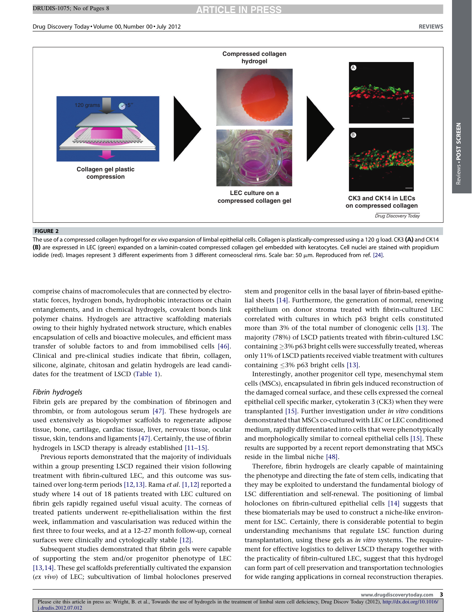<span id="page-2-0"></span>

The use of a compressed collagen hydrogel for ex vivo expansion of limbal epithelial cells. Collagen is plastically-compressed using a 120 g load. CK3 (A) and CK14 (B) are expressed in LEC (green) expanded on a laminin-coated compressed collagen gel embedded with keratocytes. Cell nuclei are stained with propidium iodide (red). Images represent 3 different experiments from 3 different corneoscleral rims. Scale bar: 50 µm. Reproduced from ref. [\[24\].](#page-7-0)

comprise chains of macromolecules that are connected by electrostatic forces, hydrogen bonds, hydrophobic interactions or chain entanglements, and in chemical hydrogels, covalent bonds link polymer chains. Hydrogels are attractive scaffolding materials owing to their highly hydrated network structure, which enables encapsulation of cells and bioactive molecules, and efficient mass transfer of soluble factors to and from immobilised cells [\[46\].](#page-7-0) Clinical and pre-clinical studies indicate that fibrin, collagen, silicone, alginate, chitosan and gelatin hydrogels are lead candidates for the treatment of LSCD [\(Table](#page-3-0) 1).

#### Fibrin hydrogels

Fibrin gels are prepared by the combination of fibrinogen and thrombin, or from autologous serum [\[47\]](#page-7-0). These hydrogels are used extensively as biopolymer scaffolds to regenerate adipose tissue, bone, cartilage, cardiac tissue, liver, nervous tissue, ocular tissue, skin, tendons and ligaments [\[47\]](#page-7-0). Certainly, the use of fibrin hydrogels in LSCD therapy is already established [\[11–15\]](#page-6-0).

Previous reports demonstrated that the majority of individuals within a group presenting LSCD regained their vision following treatment with fibrin-cultured LEC, and this outcome was sus-tained over long-term periods [\[12,13\]](#page-6-0). Rama et al. [\[1,12\]](#page-6-0) reported a study where 14 out of 18 patients treated with LEC cultured on fibrin gels rapidly regained useful visual acuity. The corneas of treated patients underwent re-epithelialisation within the first week, inflammation and vascularisation was reduced within the first three to four weeks, and at a 12–27 month follow-up, corneal surfaces were clinically and cytologically stable [\[12\]](#page-6-0).

Subsequent studies demonstrated that fibrin gels were capable of supporting the stem and/or progenitor phenotype of LEC [\[13,14\]](#page-6-0). These gel scaffolds preferentially cultivated the expansion (ex vivo) of LEC; subcultivation of limbal holoclones preserved

stem and progenitor cells in the basal layer of fibrin-based epithelial sheets [\[14\]](#page-6-0). Furthermore, the generation of normal, renewing epithelium on donor stroma treated with fibrin-cultured LEC correlated with cultures in which p63 bright cells constituted more than 3% of the total number of clonogenic cells [\[13\].](#page-6-0) The majority (78%) of LSCD patients treated with fibrin-cultured LSC containing 3% p63 bright cells were successfully treated, whereas only 11% of LSCD patients received viable treatment with cultures containing  $\leq$ 3% p63 bright cells [\[13\]](#page-6-0).

Interestingly, another progenitor cell type, mesenchymal stem cells (MSCs), encapsulated in fibrin gels induced reconstruction of the damaged corneal surface, and these cells expressed the corneal epithelial cell specific marker, cytokeratin 3 (CK3) when they were transplanted [\[15\].](#page-6-0) Further investigation under in vitro conditions demonstrated that MSCs co-cultured with LEC or LEC conditioned medium, rapidly differentiated into cells that were phenotypically and morphologically similar to corneal epithelial cells [\[15\].](#page-6-0) These results are supported by a recent report demonstrating that MSCs reside in the limbal niche [\[48\]](#page-7-0).

Therefore, fibrin hydrogels are clearly capable of maintaining the phenotype and directing the fate of stem cells, indicating that they may be exploited to understand the fundamental biology of LSC differentiation and self-renewal. The positioning of limbal holoclones on fibrin-cultured epithelial cells [\[14\]](#page-6-0) suggests that these biomaterials may be used to construct a niche-like environment for LSC. Certainly, there is considerable potential to begin understanding mechanisms that regulate LSC function during transplantation, using these gels as in vitro systems. The requirement for effective logistics to deliver LSCD therapy together with the practicality of fibrin-cultured LEC, suggest that this hydrogel can form part of cell preservation and transportation technologies for wide ranging applications in corneal reconstruction therapies.

www.drugdiscoverytoday.com 3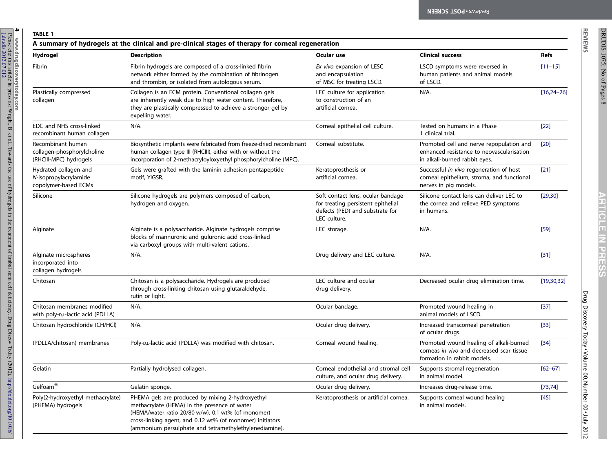| ABLI |  |
|------|--|

<span id="page-3-0"></span>4

| <b>Hydrogel</b>                                                           | <b>Description</b>                                                                                                                                                                                                                                                            | Ocular use                                                                                                                 | <b>Clinical success</b>                                                                                                | Refs            |
|---------------------------------------------------------------------------|-------------------------------------------------------------------------------------------------------------------------------------------------------------------------------------------------------------------------------------------------------------------------------|----------------------------------------------------------------------------------------------------------------------------|------------------------------------------------------------------------------------------------------------------------|-----------------|
| Fibrin                                                                    | Fibrin hydrogels are composed of a cross-linked fibrin<br>network either formed by the combination of fibrinogen<br>and thrombin, or isolated from autologous serum.                                                                                                          | Ex vivo expansion of LESC<br>and encapsulation<br>of MSC for treating LSCD.                                                | LSCD symptoms were reversed in<br>human patients and animal models<br>of LSCD.                                         | $[11 - 15]$     |
| Plastically compressed<br>collagen                                        | Collagen is an ECM protein. Conventional collagen gels<br>are inherently weak due to high water content. Therefore,<br>they are plastically compressed to achieve a stronger gel by<br>expelling water.                                                                       | LEC culture for application<br>to construction of an<br>artificial cornea.                                                 | $N/A$ .                                                                                                                | $[16, 24 - 26]$ |
| EDC and NHS cross-linked<br>recombinant human collagen                    | $N/A$ .                                                                                                                                                                                                                                                                       | Corneal epithelial cell culture.                                                                                           | Tested on humans in a Phase<br>1 clinical trial.                                                                       | $[22]$          |
| Recombinant human<br>collagen-phosphorylcholine<br>(RHCIII-MPC) hydrogels | Biosynthetic implants were fabricated from freeze-dried recombinant<br>human collagen type III (RHCIII), either with or without the<br>incorporation of 2-methacryloyloxyethyl phosphorylcholine (MPC).                                                                       | Corneal substitute.                                                                                                        | Promoted cell and nerve repopulation and<br>enhanced resistance to neovascularisation<br>in alkali-burned rabbit eyes. | $[20]$          |
| Hydrated collagen and<br>N-isopropylacrylamide<br>copolymer-based ECMs    | Gels were grafted with the laminin adhesion pentapeptide<br>motif, YIGSR.                                                                                                                                                                                                     | Keratoprosthesis or<br>artificial cornea.                                                                                  | Successful in vivo regeneration of host<br>corneal epithelium, stroma, and functional<br>nerves in pig models.         | $[21]$          |
| Silicone                                                                  | Silicone hydrogels are polymers composed of carbon,<br>hydrogen and oxygen.                                                                                                                                                                                                   | Soft contact lens, ocular bandage<br>for treating persistent epithelial<br>defects (PED) and substrate for<br>LEC culture. | Silicone contact lens can deliver LEC to<br>the cornea and relieve PED symptoms<br>in humans.                          | [29, 30]        |
| Alginate                                                                  | Alginate is a polysaccharide. Alginate hydrogels comprise<br>blocks of mannuronic and guluronic acid cross-linked<br>via carboxyl groups with multi-valent cations.                                                                                                           | LEC storage.                                                                                                               | $N/A$ .                                                                                                                | $[59]$          |
| Alginate microspheres<br>incorporated into<br>collagen hydrogels          | $N/A$ .                                                                                                                                                                                                                                                                       | Drug delivery and LEC culture.                                                                                             | $N/A$ .                                                                                                                | $[31]$          |
| Chitosan                                                                  | Chitosan is a polysaccharide. Hydrogels are produced<br>through cross-linking chitosan using glutaraldehyde,<br>rutin or light.                                                                                                                                               | LEC culture and ocular<br>drug delivery.                                                                                   | Decreased ocular drug elimination time.                                                                                | [19,30,32]      |
| Chitosan membranes modified<br>with poly-D,L-lactic acid (PDLLA)          | $N/A$ .                                                                                                                                                                                                                                                                       | Ocular bandage.                                                                                                            | Promoted wound healing in<br>animal models of LSCD.                                                                    | $[37]$          |
| Chitosan hydrochloride (CH/HCl)                                           | N/A.                                                                                                                                                                                                                                                                          | Ocular drug delivery.                                                                                                      | Increased transcorneal penetration<br>of ocular drugs.                                                                 | $[33]$          |
| (PDLLA/chitosan) membranes                                                | Poly-D,L-lactic acid (PDLLA) was modified with chitosan.                                                                                                                                                                                                                      | Corneal wound healing.                                                                                                     | Promoted wound healing of alkali-burned<br>corneas in vivo and decreased scar tissue<br>formation in rabbit models.    | $[34]$          |
| Gelatin                                                                   | Partially hydrolysed collagen.                                                                                                                                                                                                                                                | Corneal endothelial and stromal cell<br>culture, and ocular drug delivery.                                                 | Supports stromal regeneration<br>in animal model.                                                                      | $[62 - 67]$     |
| Gelfoam <sup>®</sup>                                                      | Gelatin sponge.                                                                                                                                                                                                                                                               | Ocular drug delivery.                                                                                                      | Increases drug-release time.                                                                                           | [73, 74]        |
| Poly(2-hydroxyethyl methacrylate)<br>(PHEMA) hydrogels                    | PHEMA gels are produced by mixing 2-hydroxyethyl<br>methacrylate (HEMA) in the presence of water<br>(HEMA/water ratio 20/80 w/w), 0.1 wt% (of monomer)<br>cross-linking agent, and 0.12 wt% (of monomer) initiators<br>(ammonium persulphate and tetramethylethylenediamine). | Keratoprosthesis or artificial cornea.                                                                                     | Supports corneal wound healing<br>in animal models.                                                                    | $[45]$          |

Pages 8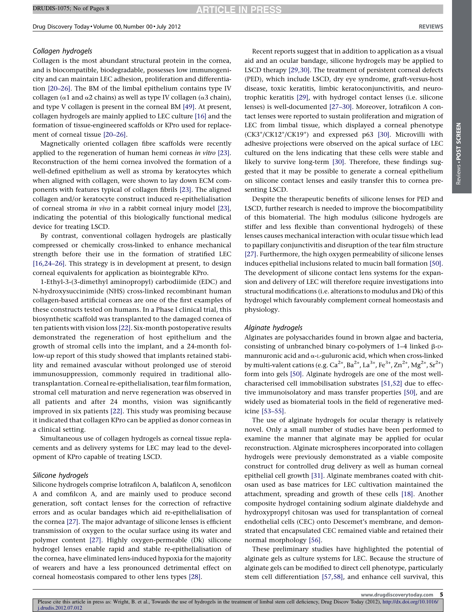#### Collagen hydrogels

Collagen is the most abundant structural protein in the cornea, and is biocompatible, biodegradable, possesses low immunogenicity and can maintain LEC adhesion, proliferation and differentiation [\[20–26\]](#page-7-0). The BM of the limbal epithelium contains type IV collagen ( $\alpha$ 1 and  $\alpha$ 2 chains) as well as type IV collagen ( $\alpha$ 3 chain), and type V collagen is present in the corneal BM [\[49\].](#page-7-0) At present, collagen hydrogels are mainly applied to LEC culture [\[16\]](#page-6-0) and the formation of tissue-engineered scaffolds or KPro used for replacement of corneal tissue [\[20–26\]](#page-7-0).

Magnetically oriented collagen fibre scaffolds were recently applied to the regeneration of human hemi corneas in vitro [\[23\].](#page-7-0) Reconstruction of the hemi cornea involved the formation of a well-defined epithelium as well as stroma by keratocytes which when aligned with collagen, were shown to lay down ECM components with features typical of collagen fibrils [\[23\]](#page-7-0). The aligned collagen and/or keratocyte construct induced re-epithelialisation of corneal stroma in vivo in a rabbit corneal injury model [\[23\],](#page-7-0) indicating the potential of this biologically functional medical device for treating LSCD.

By contrast, conventional collagen hydrogels are plastically compressed or chemically cross-linked to enhance mechanical strength before their use in the formation of stratified LEC [\[16,24–26\].](#page-6-0) This strategy is in development at present, to design corneal equivalents for application as biointegrable KPro.

1-Ethyl-3-(3-dimethyl aminopropyl) carbodiimide (EDC) and N-hydroxysuccinimide (NHS) cross-linked recombinant human collagen-based artificial corneas are one of the first examples of these constructs tested on humans. In a Phase I clinical trial, this biosynthetic scaffold was transplanted to the damaged cornea of ten patients with vision loss [\[22\].](#page-7-0) Six-month postoperative results demonstrated the regeneration of host epithelium and the growth of stromal cells into the implant, and a 24-month follow-up report of this study showed that implants retained stability and remained avascular without prolonged use of steroid immunosuppression, commonly required in traditional allotransplantation. Corneal re-epithelialisation, tear film formation, stromal cell maturation and nerve regeneration was observed in all patients and after 24 months, vision was significantly improved in six patients [\[22\]](#page-7-0). This study was promising because it indicated that collagen KPro can be applied as donor corneas in a clinical setting.

Simultaneous use of collagen hydrogels as corneal tissue replacements and as delivery systems for LEC may lead to the development of KPro capable of treating LSCD.

#### Silicone hydrogels

Silicone hydrogels comprise lotrafilcon A, balafilcon A, senofilcon A and comfilcon A, and are mainly used to produce second generation, soft contact lenses for the correction of refractive errors and as ocular bandages which aid re-epithelialisation of the cornea [\[27\].](#page-7-0) The major advantage of silicone lenses is efficient transmission of oxygen to the ocular surface using its water and polymer content [\[27\]](#page-7-0). Highly oxygen-permeable (Dk) silicone hydrogel lenses enable rapid and stable re-epithelialisation of the cornea, have eliminated lens-induced hypoxia for the majority of wearers and have a less pronounced detrimental effect on corneal homeostasis compared to other lens types [\[28\]](#page-7-0).

Recent reports suggest that in addition to application as a visual aid and an ocular bandage, silicone hydrogels may be applied to LSCD therapy [\[29,30\]](#page-7-0). The treatment of persistent corneal defects (PED), which include LSCD, dry eye syndrome, graft-versus-host disease, toxic keratitis, limbic keratoconjunctivitis, and neurotrophic keratitis [\[29\]](#page-7-0), with hydrogel contact lenses (i.e. silicone lenses) is well-documented [\[27–30\].](#page-7-0) Moreover, lotrafilcon A contact lenses were reported to sustain proliferation and migration of LEC from limbal tissue, which displayed a corneal phenotype (CK3<sup>+</sup> /CK12<sup>+</sup> /CK19<sup>+</sup> ) and expressed p63 [\[30\].](#page-7-0) Microvilli with adhesive projections were observed on the apical surface of LEC cultured on the lens indicating that these cells were stable and likely to survive long-term [\[30\].](#page-7-0) Therefore, these findings suggested that it may be possible to generate a corneal epithelium on silicone contact lenses and easily transfer this to cornea presenting LSCD.

Despite the therapeutic benefits of silicone lenses for PED and LSCD, further research is needed to improve the biocompatibility of this biomaterial. The high modulus (silicone hydrogels are stiffer and less flexible than conventional hydrogels) of these lenses causes mechanical interaction with ocular tissue which lead to papillary conjunctivitis and disruption of the tear film structure [\[27\].](#page-7-0) Furthermore, the high oxygen permeability of silicone lenses induces epithelial inclusions related to mucin ball formation [\[50\].](#page-7-0) The development of silicone contact lens systems for the expansion and delivery of LEC will therefore require investigations into structural modifications (i.e. alterations to modulus and Dk) of this hydrogel which favourably complement corneal homeostasis and physiology.

#### Alginate hydrogels

Alginates are polysaccharides found in brown algae and bacteria, consisting of unbranched binary co-polymers of  $1-4$  linked  $\beta$ -Dmannuronic acid and a-L-guluronic acid, which when cross-linked by multi-valent cations (e.g.  $Ca^{2+}$ ,  $Ba^{2+}$ ,  $La^{3+}$ ,  $Fe^{3+}$ ,  $Zn^{2+}$ ,  $Mg^{2+}$ ,  $Sr^{2+}$ ) form into gels [\[50\]](#page-7-0). Alginate hydrogels are one of the most wellcharacterised cell immobilisation substrates [\[51,52\]](#page-7-0) due to effective immunoisolatory and mass transfer properties [\[50\],](#page-7-0) and are widely used as biomaterial tools in the field of regenerative medicine [\[53–55\].](#page-7-0)

The use of alginate hydrogels for ocular therapy is relatively novel. Only a small number of studies have been performed to examine the manner that alginate may be applied for ocular reconstruction. Alginate microspheres incorporated into collagen hydrogels were previously demonstrated as a viable composite construct for controlled drug delivery as well as human corneal epithelial cell growth [\[31\]](#page-7-0). Alginate membranes coated with chitosan used as base matrices for LEC cultivation maintained the attachment, spreading and growth of these cells [\[18\]](#page-6-0). Another composite hydrogel containing sodium alginate dialdehyde and hydroxypropyl chitosan was used for transplantation of corneal endothelial cells (CEC) onto Descemet's membrane, and demonstrated that encapsulated CEC remained viable and retained their normal morphology [\[56\]](#page-7-0).

These preliminary studies have highlighted the potential of alginate gels as culture systems for LEC. Because the structure of alginate gels can be modified to direct cell phenotype, particularly stem cell differentiation [\[57,58\]](#page-7-0), and enhance cell survival, this Reviews -

POST SCREEN

Reviews . POST SCREEN

www.drugdiscoverytoday.com 5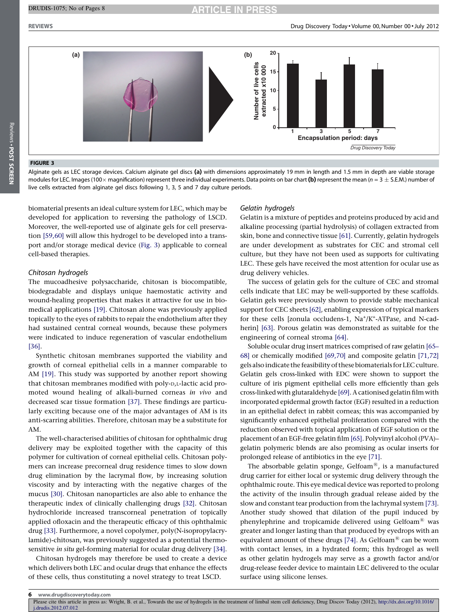

#### FIGURE 3

Alginate gels as LEC storage devices. Calcium alginate gel discs (a) with dimensions approximately 19 mm in length and 1.5 mm in depth are viable storage modules for LEC. Images (100 x magnification) represent three individual experiments. Data points on bar chart (b) represent the mean ( $n = 3 \pm$  S.E.M.) number of live cells extracted from alginate gel discs following 1, 3, 5 and 7 day culture periods.

biomaterial presents an ideal culture system for LEC, which may be developed for application to reversing the pathology of LSCD. Moreover, the well-reported use of alginate gels for cell preservation [\[59,60\]](#page-7-0) will allow this hydrogel to be developed into a transport and/or storage medical device (Fig. 3) applicable to corneal cell-based therapies.

#### Chitosan hydrogels

The mucoadhesive polysaccharide, chitosan is biocompatible, biodegradable and displays unique haemostatic activity and wound-healing properties that makes it attractive for use in biomedical applications [\[19\].](#page-6-0) Chitosan alone was previously applied topically to the eyes of rabbits to repair the endothelium after they had sustained central corneal wounds, because these polymers were indicated to induce regeneration of vascular endothelium [\[36\]](#page-7-0).

Synthetic chitosan membranes supported the viability and growth of corneal epithelial cells in a manner comparable to AM [\[19\]](#page-6-0). This study was supported by another report showing that chitosan membranes modified with poly-D,L-lactic acid promoted wound healing of alkali-burned corneas in vivo and decreased scar tissue formation [\[37\].](#page-7-0) These findings are particularly exciting because one of the major advantages of AM is its anti-scarring abilities. Therefore, chitosan may be a substitute for AM.

The well-characterised abilities of chitosan for ophthalmic drug delivery may be exploited together with the capacity of this polymer for cultivation of corneal epithelial cells. Chitosan polymers can increase precorneal drug residence times to slow down drug elimination by the lacrymal flow, by increasing solution viscosity and by interacting with the negative charges of the mucus [\[30\]](#page-7-0). Chitosan nanoparticles are also able to enhance the therapeutic index of clinically challenging drugs [\[32\].](#page-7-0) Chitosan hydrochloride increased transcorneal penetration of topically applied ofloxacin and the therapeutic efficacy of this ophthalmic drug [\[33\]](#page-7-0). Furthermore, a novel copolymer, poly(N-isopropylacrylamide)-chitosan, was previously suggested as a potential thermosensitive in situ gel-forming material for ocular drug delivery [\[34\]](#page-7-0).

Chitosan hydrogels may therefore be used to create a device which delivers both LEC and ocular drugs that enhance the effects of these cells, thus constituting a novel strategy to treat LSCD.

#### Gelatin hydrogels

Gelatin is a mixture of peptides and proteins produced by acid and alkaline processing (partial hydrolysis) of collagen extracted from skin, bone and connective tissue [\[61\]](#page-7-0). Currently, gelatin hydrogels are under development as substrates for CEC and stromal cell culture, but they have not been used as supports for cultivating LEC. These gels have received the most attention for ocular use as drug delivery vehicles.

The success of gelatin gels for the culture of CEC and stromal cells indicate that LEC may be well-supported by these scaffolds. Gelatin gels were previously shown to provide stable mechanical support for CEC sheets [\[62\],](#page-7-0) enabling expression of typical markers for these cells [zonula occludens-1, Na<sup>+</sup>/K<sup>+</sup>-ATPase, and N-cad-herin] [\[63\].](#page-7-0) Porous gelatin was demonstrated as suitable for the engineering of corneal stroma [\[64\].](#page-7-0)

Soluble ocular drug insert matrices comprised of raw gelatin [\[65–](#page-7-0) [68\]](#page-7-0) or chemically modified [\[69,70\]](#page-7-0) and composite gelatin [\[71,72\]](#page-7-0) gels also indicate the feasibility of these biomaterials for LEC culture. Gelatin gels cross-linked with EDC were shown to support the culture of iris pigment epithelial cells more efficiently than gels cross-linked with glutaraldehyde [\[69\].](#page-7-0) A cationised gelatin film with incorporated epidermal growth factor (EGF) resulted in a reduction in an epithelial defect in rabbit corneas; this was accompanied by significantly enhanced epithelial proliferation compared with the reduction observed with topical application of EGF solution or the placement of an EGF-free gelatin film [\[65\]](#page-7-0). Polyvinyl alcohol(PVA)– gelatin polymeric blends are also promising as ocular inserts for prolonged release of antibiotics in the eye [\[71\]](#page-7-0).

The absorbable gelatin sponge, Gelfoam<sup>®</sup>, is a manufactured drug carrier for either local or systemic drug delivery through the ophthalmic route. This eye medical device was reported to prolong the activity of the insulin through gradual release aided by the slow and constant tear production from the lachrymal system [\[73\]](#page-7-0). Another study showed that dilation of the pupil induced by phenylephrine and tropicamide delivered using Gelfoam<sup>®</sup> was greater and longer lasting than that produced by eyedrops with an equivalent amount of these drugs [\[74\]](#page-7-0). As Gelfoam<sup>®</sup> can be worn with contact lenses, in a hydrated form; this hydrogel as well as other gelatin hydrogels may serve as a growth factor and/or drug-release feeder device to maintain LEC delivered to the ocular surface using silicone lenses.

Please cite this article in press as: Wright, B. et al., Towards the use of hydrogels in the treatment of limbal stem cell deficiency, Drug Discov Today (2012), [http://dx.doi.org/10.1016/](http://dx.doi.org/10.1016/j.drudis.2012.07.012) [j.drudis.2012.07.012](http://dx.doi.org/10.1016/j.drudis.2012.07.012)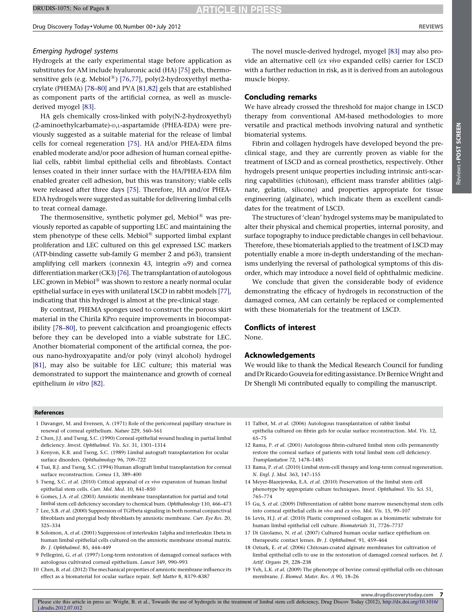#### <span id="page-6-0"></span>Emerging hydrogel systems

Hydrogels at the early experimental stage before application as substitutes for AM include hyaluronic acid (HA) [\[75\]](#page-7-0) gels, thermosensitive gels (e.g. Mebiol $^{(8)}$ ) [\[76,77\]](#page-7-0), poly(2-hydroxyethyl methacrylate (PHEMA) [\[78–80\]](#page-7-0) and PVA [\[81,82\]](#page-7-0) gels that are established as component parts of the artificial cornea, as well as musclederived myogel [\[83\]](#page-7-0).

HA gels chemically cross-linked with poly(N-2-hydroxyethyl) (2-aminoethylcarbamate)-D,L-aspartamide (PHEA-EDA) were previously suggested as a suitable material for the release of limbal cells for corneal regeneration [\[75\]](#page-7-0). HA and/or PHEA-EDA films enabled moderate and/or poor adhesion of human corneal epithelial cells, rabbit limbal epithelial cells and fibroblasts. Contact lenses coated in their inner surface with the HA/PHEA-EDA film enabled greater cell adhesion, but this was transitory; viable cells were released after three days [\[75\]](#page-7-0). Therefore, HA and/or PHEA-EDA hydrogels were suggested as suitable for delivering limbal cells to treat corneal damage.

The thermosensitive, synthetic polymer gel, Mebiol $^{\circledR}$  was previously reported as capable of supporting LEC and maintaining the stem phenotype of these cells. Mebiol $^{\circledR}$  supported limbal explant proliferation and LEC cultured on this gel expressed LSC markers (ATP-binding cassette sub-family G member 2 and p63), transient amplifying cell markers (connexin 43, integrin  $\alpha$ 9) and cornea differentiation marker (CK3) [\[76\]](#page-7-0). The transplantation of autologous LEC grown in Mebiol $^{\circledR}$  was shown to restore a nearly normal ocular epithelial surface in eyes with unilateral LSCD in rabbit models [\[77\],](#page-7-0) indicating that this hydrogel is almost at the pre-clinical stage.

By contrast, PHEMA sponges used to construct the porous skirt material in the Chirila KPro require improvements in biocompatibility [\[78–80\],](#page-7-0) to prevent calcification and proangiogenic effects before they can be developed into a viable substrate for LEC. Another biomaterial component of the artificial cornea, the porous nano-hydroxyapatite and/or poly (vinyl alcohol) hydrogel [\[81\],](#page-7-0) may also be suitable for LEC culture; this material was demonstrated to support the maintenance and growth of corneal epithelium in vitro [\[82\].](#page-7-0)

The novel muscle-derived hydrogel, myogel [\[83\]](#page-7-0) may also provide an alternative cell (ex vivo expanded cells) carrier for LSCD with a further reduction in risk, as it is derived from an autologous muscle biopsy.

#### Concluding remarks

We have already crossed the threshold for major change in LSCD therapy from conventional AM-based methodologies to more versatile and practical methods involving natural and synthetic biomaterial systems.

Fibrin and collagen hydrogels have developed beyond the preclinical stage, and they are currently proven as viable for the treatment of LSCD and as corneal prosthetics, respectively. Other hydrogels present unique properties including intrinsic anti-scarring capabilities (chitosan), efficient mass transfer abilities (alginate, gelatin, silicone) and properties appropriate for tissue engineering (alginate), which indicate them as excellent candidates for the treatment of LSCD.

The structures of 'clean' hydrogel systems may be manipulated to alter their physical and chemical properties, internal porosity, and surface topography to induce predictable changes in cell behaviour. Therefore, these biomaterials applied to the treatment of LSCD may potentially enable a more in-depth understanding of the mechanisms underlying the reversal of pathological symptoms of this disorder, which may introduce a novel field of ophthalmic medicine.

We conclude that given the considerable body of evidence demonstrating the efficacy of hydrogels in reconstruction of the damaged cornea, AM can certainly be replaced or complemented with these biomaterials for the treatment of LSCD.

#### Conflicts of interest

None.

#### Acknowledgements

We would like to thank the Medical Research Council for funding and Dr Ricardo Gouveia for editing assistance. Dr Bernice Wright and Dr Shengli Mi contributed equally to compiling the manuscript.

#### References

- 1 Davanger, M. and Evensen, A. (1971) Role of the pericorneal papillary structure in renewal of corneal epithelium. Nature 229, 560–561
- 2 Chen, J.J. and Tseng, S.C. (1990) Corneal epithelial wound healing in partial limbal deficiency. Invest. Ophthalmol. Vis. Sci. 31, 1301–1314
- 3 Kenyon, K.R. and Tseng, S.C. (1989) Limbal autograft transplantation for ocular surface disorders. Ophthalmology 96, 709–722
- 4 Tsai, R.J. and Tseng, S.C. (1994) Human allograft limbal transplantation for corneal surface reconstruction. Cornea 13, 389–400
- 5 Tseng, S.C. et al. (2010) Critical appraisal of ex vivo expansion of human limbal epithelial stem cells. Curr. Mol. Med. 10, 841–850
- 6 Gomes, J.A. et al. (2003) Amniotic membrane transplantation for partial and total limbal stem cell deficiency secondary to chemical burn. Ophthalmology 110, 466–473
- 7 Lee, S.B. et al. (2000) Suppression of TGFbeta signaling in both normal conjunctival fibroblasts and pterygial body fibroblasts by amniotic membrane. Curr. Eye Res. 20, 325–334
- 8 Solomon, A. et al. (2001) Suppression of interleukin 1alpha and interleukin 1beta in human limbal epithelial cells cultured on the amniotic membrane stromal matrix. Br. J. Ophthalmol. 85, 444–449
- 9 Pellegrini, G. et al. (1997) Long-term restoration of damaged corneal surfaces with autologous cultivated corneal epithelium. Lancet 349, 990–993
- 10 Chen, B. et al. (2012) The mechanical properties of amniotic membrane influence its effect as a biomaterial for ocular surface repair. Soft Matter 8, 8379–8387
- 11 Talbot, M. et al. (2006) Autologous transplantation of rabbit limbal epithelia cultured on fibrin gels for ocular surface reconstruction. Mol. Vis. 12, 65–75
- 12 Rama, P. et al. (2001) Autologous fibrin-cultured limbal stem cells permanently restore the corneal surface of patients with total limbal stem cell deficiency. Transplantation 72, 1478–1485
- 13 Rama, P. et al. (2010) Limbal stem-cell therapy and long-term corneal regeneration. N. Engl. J. Med. 363, 147–155
- 14 Meyer-Blazejewska, E.A. et al. (2010) Preservation of the limbal stem cell phenotype by appropriate culture techniques. Invest. Ophthalmol. Vis. Sci. 51, 765–774
- 15 Gu, S. et al. (2009) Differentiation of rabbit bone marrow mesenchymal stem cells into corneal epithelial cells in vivo and ex vivo. Mol. Vis. 15, 99–107
- 16 Levis, H.J. et al. (2010) Plastic compressed collagen as a biomimetic substrate for human limbal epithelial cell culture. Biomaterials 31, 7726–7737
- 17 Di Girolamo, N. et al. (2007) Cultured human ocular surface epithelium on therapeutic contact lenses. Br. J. Ophthalmol. 91, 459–464
- 18 Ozturk, E. et al. (2006) Chitosan-coated alginate membranes for cultivation of limbal epithelial cells to use in the restoration of damaged corneal surfaces. Int. J. Artif. Organs 29, 228–238
- 19 Yeh, L.K. et al. (2009) The phenotype of bovine corneal epithelial cells on chitosan membrane. J. Biomed. Mater. Res. A 90, 18–26

Reviews . POST SCREEN POST SCREENReviews -